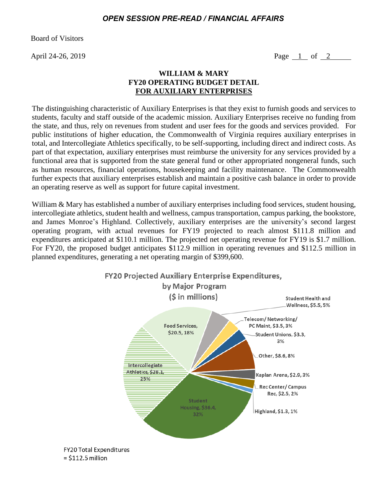## *OPEN SESSION PRE-READ / FINANCIAL AFFAIRS*

Board of Visitors

April 24-26, 2019 **Page 1 of 2** 

## **WILLIAM & MARY FY20 OPERATING BUDGET DETAIL FOR AUXILIARY ENTERPRISES**

The distinguishing characteristic of Auxiliary Enterprises is that they exist to furnish goods and services to students, faculty and staff outside of the academic mission. Auxiliary Enterprises receive no funding from the state, and thus, rely on revenues from student and user fees for the goods and services provided. For public institutions of higher education, the Commonwealth of Virginia requires auxiliary enterprises in total, and Intercollegiate Athletics specifically, to be self-supporting, including direct and indirect costs. As part of that expectation, auxiliary enterprises must reimburse the university for any services provided by a functional area that is supported from the state general fund or other appropriated nongeneral funds, such as human resources, financial operations, housekeeping and facility maintenance. The Commonwealth further expects that auxiliary enterprises establish and maintain a positive cash balance in order to provide an operating reserve as well as support for future capital investment.

William & Mary has established a number of auxiliary enterprises including food services, student housing, intercollegiate athletics, student health and wellness, campus transportation, campus parking, the bookstore, and James Monroe's Highland. Collectively, auxiliary enterprises are the university's second largest operating program, with actual revenues for FY19 projected to reach almost \$111.8 million and expenditures anticipated at \$110.1 million. The projected net operating revenue for FY19 is \$1.7 million. For FY20, the proposed budget anticipates \$112.9 million in operating revenues and \$112.5 million in planned expenditures, generating a net operating margin of \$399,600.